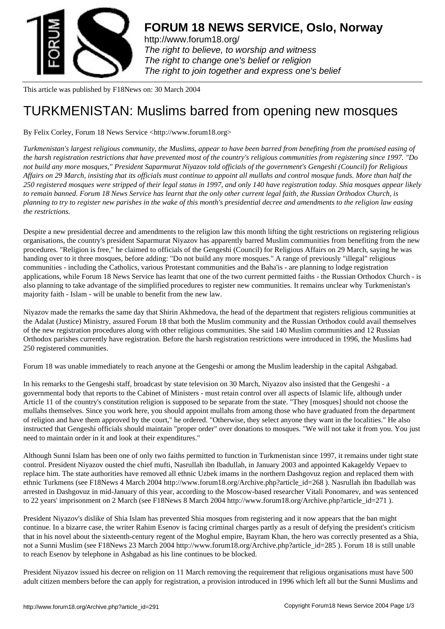

http://www.forum18.org/ The right to believe, to worship and witness The right to change one's belief or religion [The right to join together](http://www.forum18.org/) and express one's belief

This article was published by F18News on: 30 March 2004

## [TURKMENISTAN:](http://www.forum18.org) Muslims barred from opening new mosques

By Felix Corley, Forum 18 News Service <http://www.forum18.org>

*Turkmenistan's largest religious community, the Muslims, appear to have been barred from benefiting from the promised easing of the harsh registration restrictions that have prevented most of the country's religious communities from registering since 1997. "Do not build any more mosques," President Saparmurat Niyazov told officials of the government's Gengeshi (Council) for Religious Affairs on 29 March, insisting that its officials must continue to appoint all mullahs and control mosque funds. More than half the 250 registered mosques were stripped of their legal status in 1997, and only 140 have registration today. Shia mosques appear likely to remain banned. Forum 18 News Service has learnt that the only other current legal faith, the Russian Orthodox Church, is planning to try to register new parishes in the wake of this month's presidential decree and amendments to the religion law easing the restrictions.*

Despite a new presidential decree and amendments to the religion law this month lifting the tight restrictions on registering religious organisations, the country's president Saparmurat Niyazov has apparently barred Muslim communities from benefiting from the new procedures. "Religion is free," he claimed to officials of the Gengeshi (Council) for Religious Affairs on 29 March, saying he was handing over to it three mosques, before adding: "Do not build any more mosques." A range of previously "illegal" religious communities - including the Catholics, various Protestant communities and the Baha'is - are planning to lodge registration applications, while Forum 18 News Service has learnt that one of the two current permitted faiths - the Russian Orthodox Church - is also planning to take advantage of the simplified procedures to register new communities. It remains unclear why Turkmenistan's majority faith - Islam - will be unable to benefit from the new law.

Niyazov made the remarks the same day that Shirin Akhmedova, the head of the department that registers religious communities at the Adalat (Justice) Ministry, assured Forum 18 that both the Muslim community and the Russian Orthodox could avail themselves of the new registration procedures along with other religious communities. She said 140 Muslim communities and 12 Russian Orthodox parishes currently have registration. Before the harsh registration restrictions were introduced in 1996, the Muslims had 250 registered communities.

Forum 18 was unable immediately to reach anyone at the Gengeshi or among the Muslim leadership in the capital Ashgabad.

In his remarks to the Gengeshi staff, broadcast by state television on 30 March, Niyazov also insisted that the Gengeshi - a governmental body that reports to the Cabinet of Ministers - must retain control over all aspects of Islamic life, although under Article 11 of the country's constitution religion is supposed to be separate from the state. "They [mosques] should not choose the mullahs themselves. Since you work here, you should appoint mullahs from among those who have graduated from the department of religion and have them approved by the court," he ordered. "Otherwise, they select anyone they want in the localities." He also instructed that Gengeshi officials should maintain "proper order" over donations to mosques. "We will not take it from you. You just need to maintain order in it and look at their expenditures."

Although Sunni Islam has been one of only two faiths permitted to function in Turkmenistan since 1997, it remains under tight state control. President Niyazov ousted the chief mufti, Nasrullah ibn Ibadullah, in January 2003 and appointed Kakageldy Vepaev to replace him. The state authorities have removed all ethnic Uzbek imams in the northern Dashgovuz region and replaced them with ethnic Turkmens (see F18News 4 March 2004 http://www.forum18.org/Archive.php?article\_id=268 ). Nasrullah ibn Ibadullah was arrested in Dashgovuz in mid-January of this year, according to the Moscow-based researcher Vitali Ponomarev, and was sentenced to 22 years' imprisonment on 2 March (see F18News 8 March 2004 http://www.forum18.org/Archive.php?article\_id=271 ).

President Niyazov's dislike of Shia Islam has prevented Shia mosques from registering and it now appears that the ban might continue. In a bizarre case, the writer Rahim Esenov is facing criminal charges partly as a result of defying the president's criticism that in his novel about the sixteenth-century regent of the Moghul empire, Bayram Khan, the hero was correctly presented as a Shia, not a Sunni Muslim (see F18News 23 March 2004 http://www.forum18.org/Archive.php?article\_id=285 ). Forum 18 is still unable to reach Esenov by telephone in Ashgabad as his line continues to be blocked.

President Niyazov issued his decree on religion on 11 March removing the requirement that religious organisations must have 500 adult citizen members before the can apply for registration, a provision introduced in 1996 which left all but the Sunni Muslims and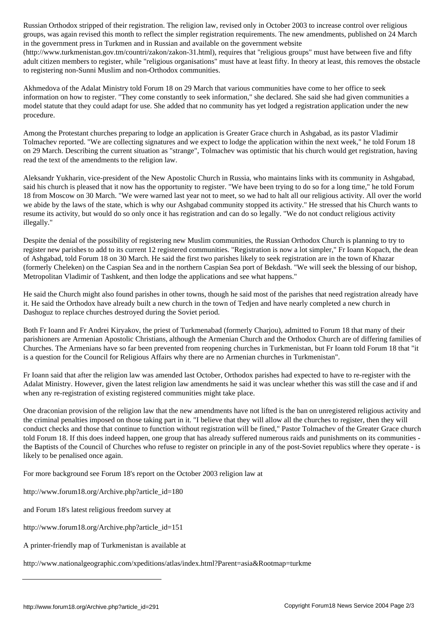groups, was again revised this month to reflect the simpler registration requirements. The new amendments, published on 24 March in the government press in Turkmen and in Russian and available on the government website

(http://www.turkmenistan.gov.tm/countri/zakon/zakon-31.html), requires that "religious groups" must have between five and fifty adult citizen members to register, while "religious organisations" must have at least fifty. In theory at least, this removes the obstacle to registering non-Sunni Muslim and non-Orthodox communities.

Akhmedova of the Adalat Ministry told Forum 18 on 29 March that various communities have come to her office to seek information on how to register. "They come constantly to seek information," she declared. She said she had given communities a model statute that they could adapt for use. She added that no community has yet lodged a registration application under the new procedure.

Among the Protestant churches preparing to lodge an application is Greater Grace church in Ashgabad, as its pastor Vladimir Tolmachev reported. "We are collecting signatures and we expect to lodge the application within the next week," he told Forum 18 on 29 March. Describing the current situation as "strange", Tolmachev was optimistic that his church would get registration, having read the text of the amendments to the religion law.

Aleksandr Yukharin, vice-president of the New Apostolic Church in Russia, who maintains links with its community in Ashgabad, said his church is pleased that it now has the opportunity to register. "We have been trying to do so for a long time," he told Forum 18 from Moscow on 30 March. "We were warned last year not to meet, so we had to halt all our religious activity. All over the world we abide by the laws of the state, which is why our Ashgabad community stopped its activity." He stressed that his Church wants to resume its activity, but would do so only once it has registration and can do so legally. "We do not conduct religious activity illegally."

Despite the denial of the possibility of registering new Muslim communities, the Russian Orthodox Church is planning to try to register new parishes to add to its current 12 registered communities. "Registration is now a lot simpler," Fr Ioann Kopach, the dean of Ashgabad, told Forum 18 on 30 March. He said the first two parishes likely to seek registration are in the town of Khazar (formerly Cheleken) on the Caspian Sea and in the northern Caspian Sea port of Bekdash. "We will seek the blessing of our bishop, Metropolitan Vladimir of Tashkent, and then lodge the applications and see what happens."

He said the Church might also found parishes in other towns, though he said most of the parishes that need registration already have it. He said the Orthodox have already built a new church in the town of Tedjen and have nearly completed a new church in Dashoguz to replace churches destroyed during the Soviet period.

Both Fr Ioann and Fr Andrei Kiryakov, the priest of Turkmenabad (formerly Charjou), admitted to Forum 18 that many of their parishioners are Armenian Apostolic Christians, although the Armenian Church and the Orthodox Church are of differing families of Churches. The Armenians have so far been prevented from reopening churches in Turkmenistan, but Fr Ioann told Forum 18 that "it is a question for the Council for Religious Affairs why there are no Armenian churches in Turkmenistan".

Fr Ioann said that after the religion law was amended last October, Orthodox parishes had expected to have to re-register with the Adalat Ministry. However, given the latest religion law amendments he said it was unclear whether this was still the case and if and when any re-registration of existing registered communities might take place.

One draconian provision of the religion law that the new amendments have not lifted is the ban on unregistered religious activity and the criminal penalties imposed on those taking part in it. "I believe that they will allow all the churches to register, then they will conduct checks and those that continue to function without registration will be fined," Pastor Tolmachev of the Greater Grace church told Forum 18. If this does indeed happen, one group that has already suffered numerous raids and punishments on its communities the Baptists of the Council of Churches who refuse to register on principle in any of the post-Soviet republics where they operate - is likely to be penalised once again.

For more background see Forum 18's report on the October 2003 religion law at

http://www.forum18.org/Archive.php?article\_id=180

and Forum 18's latest religious freedom survey at

http://www.forum18.org/Archive.php?article\_id=151

A printer-friendly map of Turkmenistan is available at

http://www.nationalgeographic.com/xpeditions/atlas/index.html?Parent=asia&Rootmap=turkme